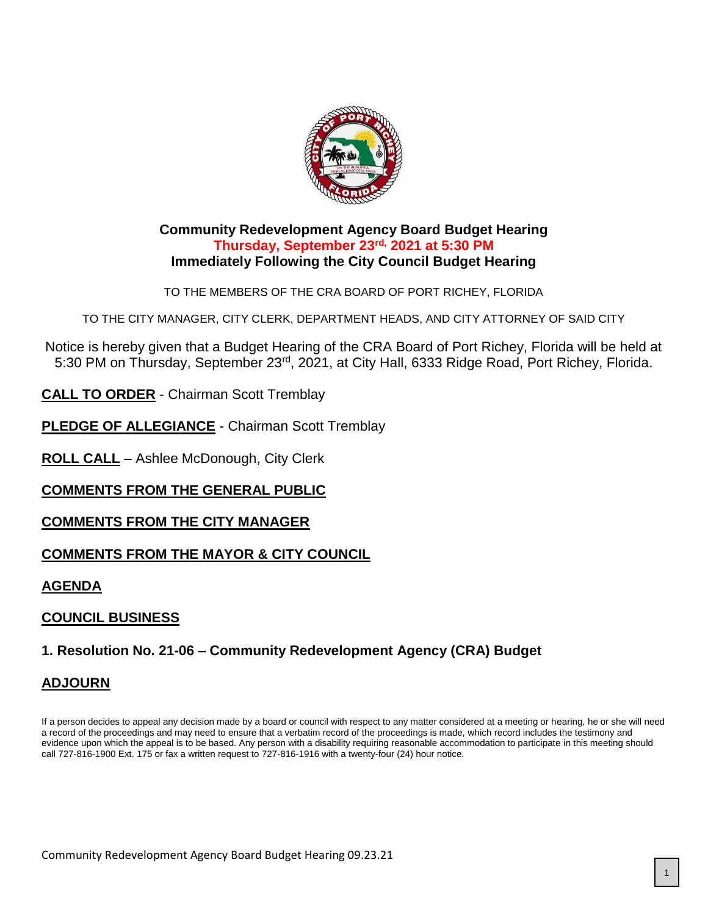

#### **Community Redevelopment Agency Board Budget Hearing Thursday, September 23rd, 2021 at 5:30 PM Immediately Following the City Council Budget Hearing**

TO THE MEMBERS OF THE CRA BOARD OF PORT RICHEY, FLORIDA

TO THE CITY MANAGER, CITY CLERK, DEPARTMENT HEADS, AND CITY ATTORNEY OF SAID CITY

Notice is hereby given that a Budget Hearing of the CRA Board of Port Richey, Florida will be held at 5:30 PM on Thursday, September 23rd, 2021, at City Hall, 6333 Ridge Road, Port Richey, Florida.

**CALL TO ORDER** - Chairman Scott Tremblay

**PLEDGE OF ALLEGIANCE - Chairman Scott Tremblay** 

**ROLL CALL** – Ashlee McDonough, City Clerk

**COMMENTS FROM THE GENERAL PUBLIC**

**COMMENTS FROM THE CITY MANAGER**

#### **COMMENTS FROM THE MAYOR & CITY COUNCIL**

#### **AGENDA**

## **COUNCIL BUSINESS**

## **1. Resolution No. 21-06 – Community Redevelopment Agency (CRA) Budget**

#### **ADJOURN**

If a person decides to appeal any decision made by a board or council with respect to any matter considered at a meeting or hearing, he or she will need a record of the proceedings and may need to ensure that a verbatim record of the proceedings is made, which record includes the testimony and evidence upon which the appeal is to be based. Any person with a disability requiring reasonable accommodation to participate in this meeting should call 727-816-1900 Ext. 175 or fax a written request to 727-816-1916 with a twenty-four (24) hour notice.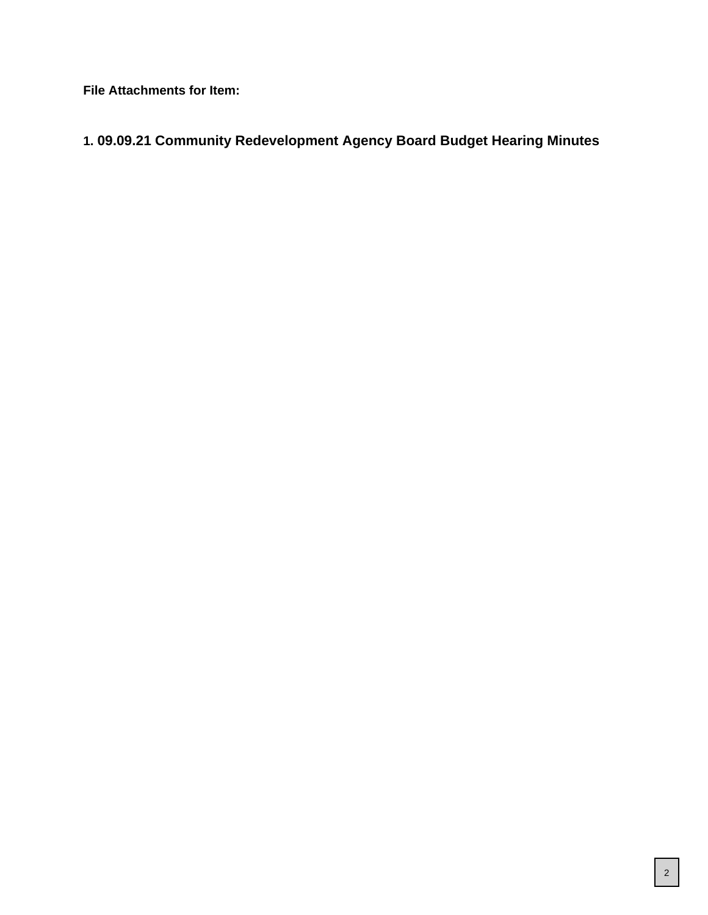**File Attachments for Item:**

## **1. 09.09.21 Community Redevelopment Agency Board Budget Hearing Minutes**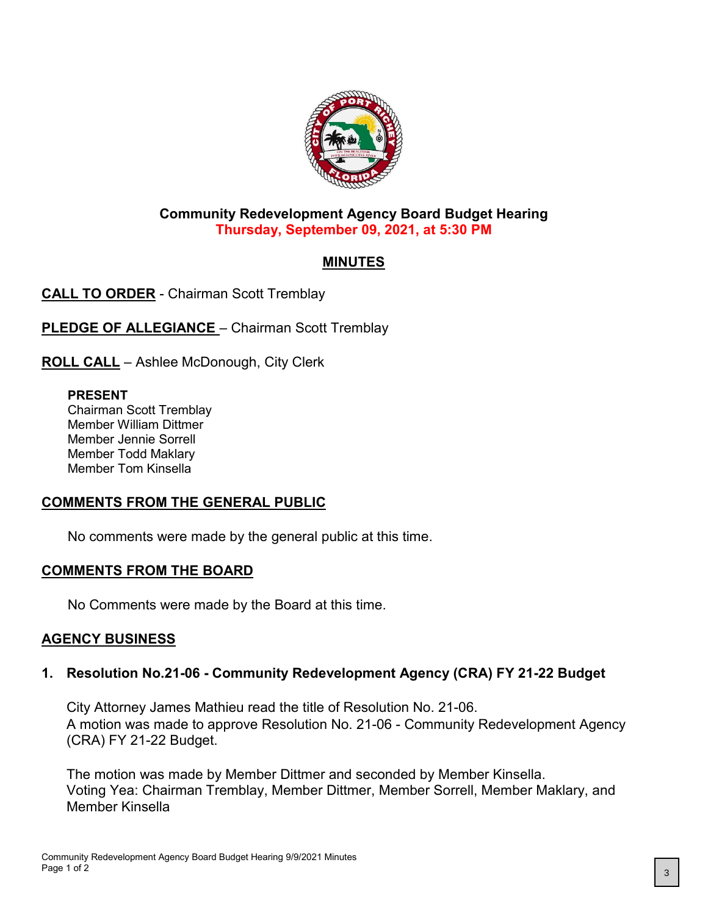

## **Community Redevelopment Agency Board Budget Hearing Thursday, September 09, 2021, at 5:30 PM**

## **MINUTES**

**CALL TO ORDER** - Chairman Scott Tremblay

**PLEDGE OF ALLEGIANCE** - Chairman Scott Tremblay

**ROLL CALL** – Ashlee McDonough, City Clerk

#### **PRESENT**

Chairman Scott Tremblay Member William Dittmer Member Jennie Sorrell Member Todd Maklary Member Tom Kinsella

## **COMMENTS FROM THE GENERAL PUBLIC**

No comments were made by the general public at this time.

## **COMMENTS FROM THE BOARD**

No Comments were made by the Board at this time.

#### **AGENCY BUSINESS**

## **1. Resolution No.21-06 - Community Redevelopment Agency (CRA) FY 21-22 Budget**

City Attorney James Mathieu read the title of Resolution No. 21-06. A motion was made to approve Resolution No. 21-06 - Community Redevelopment Agency (CRA) FY 21-22 Budget.

The motion was made by Member Dittmer and seconded by Member Kinsella. Voting Yea: Chairman Tremblay, Member Dittmer, Member Sorrell, Member Maklary, and Member Kinsella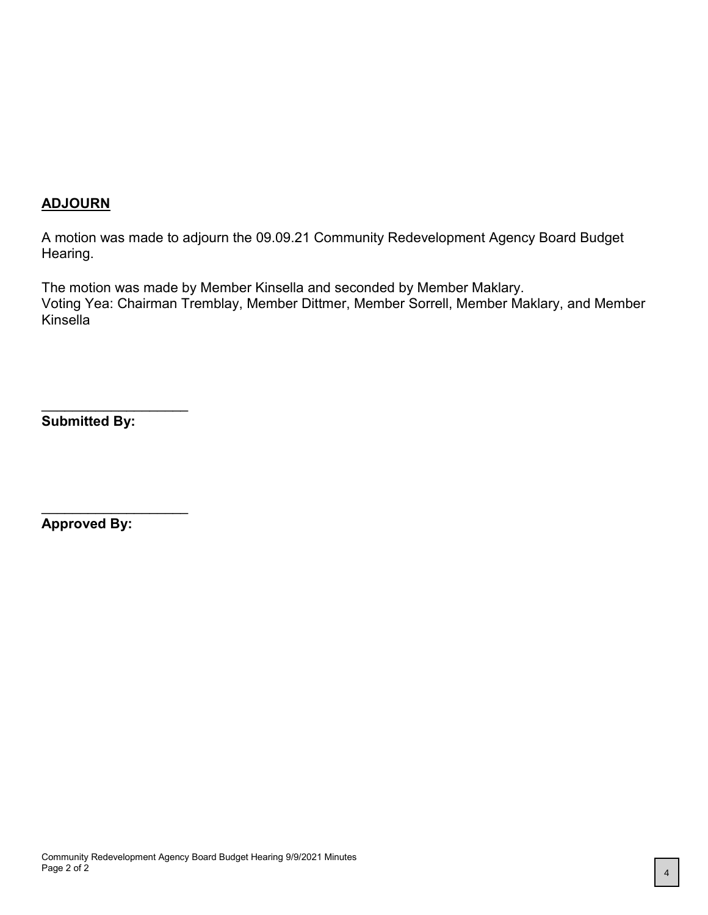#### **ADJOURN**

A motion was made to adjourn the 09.09.21 Community Redevelopment Agency Board Budget Hearing.

The motion was made by Member Kinsella and seconded by Member Maklary. Voting Yea: Chairman Tremblay, Member Dittmer, Member Sorrell, Member Maklary, and Member Kinsella

**Submitted By:**

\_\_\_\_\_\_\_\_\_\_\_\_\_\_\_\_\_\_\_

\_\_\_\_\_\_\_\_\_\_\_\_\_\_\_\_\_\_\_

**Approved By:**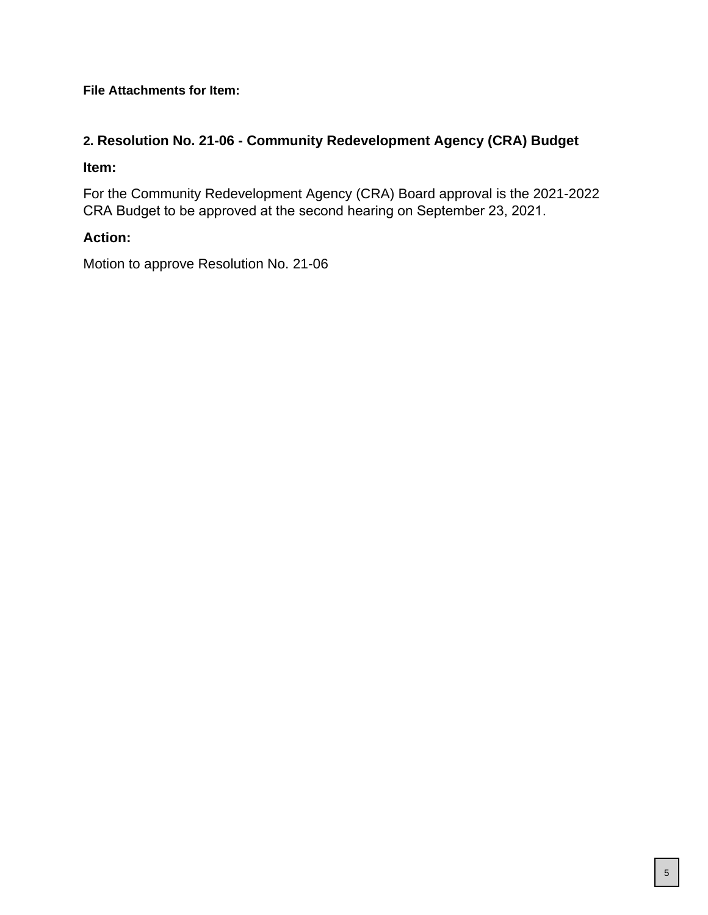**File Attachments for Item:**

## **2. Resolution No. 21-06 - Community Redevelopment Agency (CRA) Budget**

#### **Item:**

For the Community Redevelopment Agency (CRA) Board approval is the 2021-2022 CRA Budget to be approved at the second hearing on September 23, 2021.

## **Action:**

Motion to approve Resolution No. 21-06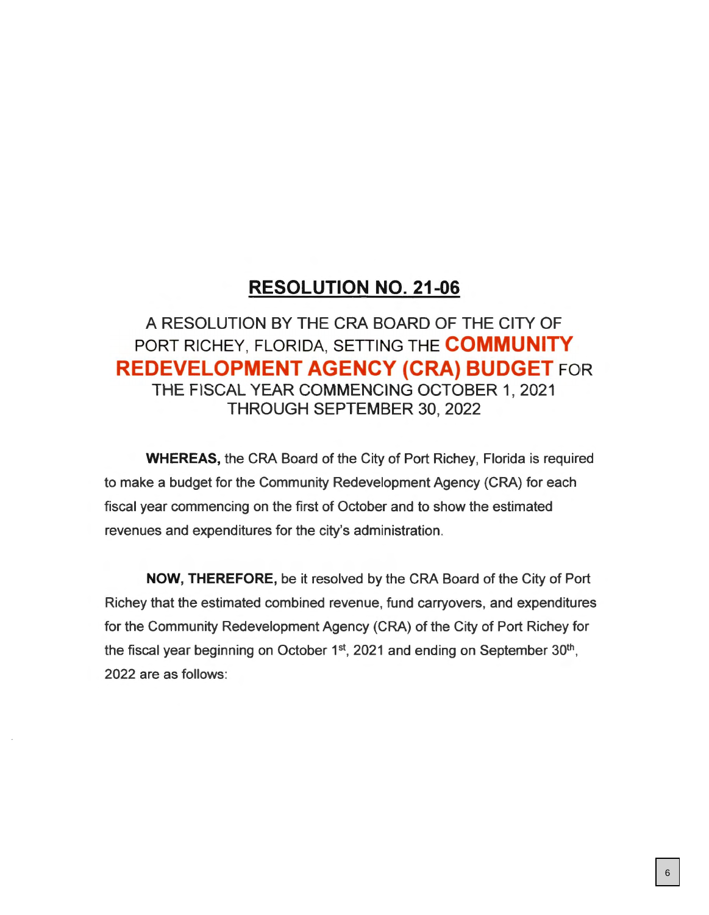## **RESOLUTION NO. 21-06**

# A RESOLUTION BY THE CRA BOARD OF THE CITY OF PORT RICHEY, FLORIDA, SETTING THE **COMMUNITY REDEVELOPMENT AGENCY (CRA) BUDGET FOR** THE FISCAL YEAR COMMENCING OCTOBER 1, 2021 THROUGH SEPTEMBER 30, 2022

**WHEREAS,** the CRA Board of the City of Port Richey, Florida is required to make a budget for the Community Redevelopment Agency (CRA) for each fiscal year commencing on the first of October and to show the estimated revenues and expenditures for the city's administration.

**NOW, THEREFORE,** be it resolved by the CRA Board of the City of Port Richey that the estimated combined revenue, fund carryovers, and expenditures for the Community Redevelopment Agency (CRA) of the City of Port Richey for the fiscal year beginning on October 1<sup>st</sup>, 2021 and ending on September 30<sup>th</sup>, 2022 are as follows: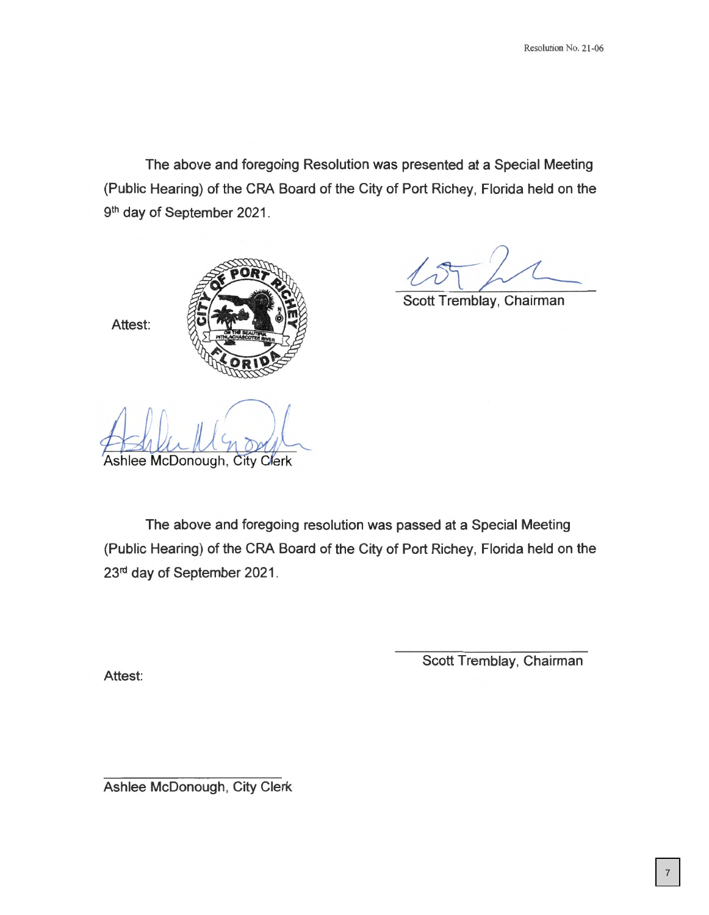The above and foregoing Resolution was presented at a Special Meeting (Public Hearing) of the CRA Board of the City of Port Richey, Florida held on the 9<sup>th</sup> day of September 2021.



~&c Scott Tremblay, Chairman

Ashlee McDonough, City Clerk

The above and foregoing resolution was passed at a Special Meeting (Public Hearing) of the CRA Board of the City of Port Richey, Florida held on the 23<sup>rd</sup> day of September 2021.

Attest:

Attest:

Scott Tremblay, Chairman

Ashlee McDonough, City Clerk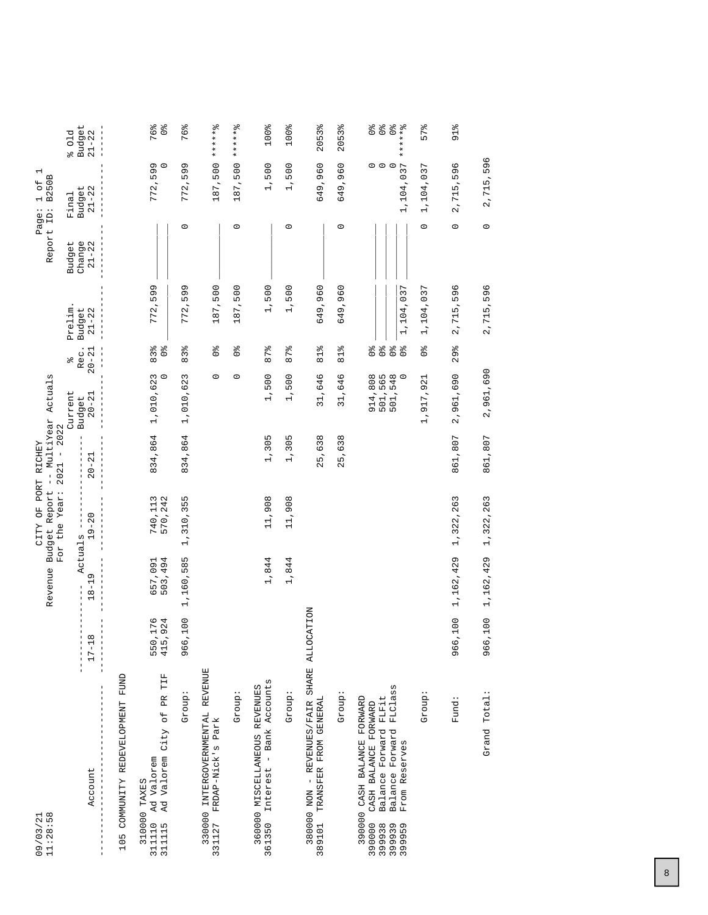| $09/03/21$<br>$11:28:58$                                                                                                                                               |                            | Revenue                              | Budget Report<br>FO<br>O<br><b>CITY</b> | -- MultiYear<br>PORT RICHEY     | Actuals                                  |                                                                                    |                     | Report ID:          | $\overline{\phantom{0}}$<br>B250B<br>$\overline{5}$<br>$\overline{\phantom{0}}$<br>Page: |                                                                                            |
|------------------------------------------------------------------------------------------------------------------------------------------------------------------------|----------------------------|--------------------------------------|-----------------------------------------|---------------------------------|------------------------------------------|------------------------------------------------------------------------------------|---------------------|---------------------|------------------------------------------------------------------------------------------|--------------------------------------------------------------------------------------------|
|                                                                                                                                                                        |                            |                                      | For the Year:                           | 2022<br>$\,$ l<br>2021          | Current                                  | olo                                                                                | Prelim              | Budget              | Final                                                                                    | 01d<br>olo                                                                                 |
| Account                                                                                                                                                                | $\infty$<br>$17 - 1$       | Actuals<br>$\sigma$<br>$18 - 1$<br>T | $19 - 20$                               | $20 - 21$                       | $20 - 21$<br>Budget                      | Rec.<br>$20 - 2$                                                                   | $21 - 22$<br>Budget | Change<br>$21 - 22$ | Budget<br>$21 - 22$                                                                      | <b>Budget</b><br>$21 - 22$                                                                 |
| FUND<br>COMMUNITY REDEVELOPMENT<br>105                                                                                                                                 |                            |                                      |                                         |                                 |                                          |                                                                                    |                     |                     |                                                                                          |                                                                                            |
| TIF<br>Ad Valorem City of PR<br>311110 Ad Valorem<br>310000 TAXES<br>311115                                                                                            | ,176<br>,924<br>550<br>415 | 503,494<br>657,091                   | 740,113<br>570,242                      | 834,864                         | 3<br>$\circ$<br>1,010,62                 | $\frac{1}{2}$<br>$83\frac{8}{6}$                                                   | 599<br>772          |                     | 772,599                                                                                  | 76%<br>$\frac{1}{\sqrt{6}}$                                                                |
| Group                                                                                                                                                                  | ,100<br>966                | 1,160,585                            | 1,310,355                               | 834,864                         | 1,010,623                                | 83%                                                                                | 599<br>772          | $\circ$             | 599<br>772,                                                                              | 76%                                                                                        |
| 330000 INTERGOVERNMENTAL REVENUE<br>331127 FRDAP-Nick's Park                                                                                                           |                            |                                      |                                         |                                 | $\circ$                                  | $\frac{1}{2}$                                                                      | 187,500             |                     | 187,500                                                                                  | ******%                                                                                    |
| Group:                                                                                                                                                                 |                            |                                      |                                         |                                 | $\circ$                                  | $\mathcal{O}^{\mathsf{ob}}$                                                        | 187,500             | $\circ$             | 187,500                                                                                  | $-5 + 4 + 5$<br>$\star$                                                                    |
| Bank Accounts<br>360000 MISCELLANEOUS REVENUES<br>$\overline{1}$<br>361350 Interest                                                                                    |                            | 1,844                                | 11,908                                  | 1,305                           | 1,500                                    | 87%                                                                                | 1,500               |                     | 1,500                                                                                    | 100%                                                                                       |
| : dno.rp                                                                                                                                                               |                            | 1,844                                | 11,908                                  | 1,305                           | 1,500                                    | 87%                                                                                | 1,500               | $\circ$             | 1,500                                                                                    | 100%                                                                                       |
| 380000 NON - REVENUES/FAIR SHARE ALLO<br>TRANSFER FROM GENERAL<br>389101                                                                                               | CATION                     |                                      |                                         | 638<br>$\overline{5}$<br>$\sim$ | 31,646                                   | o/o<br>$\overline{a}$                                                              | 649,960             |                     | 649,960                                                                                  | 2053%                                                                                      |
| :dnox5                                                                                                                                                                 |                            |                                      |                                         | 5,638<br>$\mathbf{\Omega}$      | 31,646                                   | 81%                                                                                | ,960<br>649         | $\circ$             | 649,960                                                                                  | 2053%                                                                                      |
| FLClass<br>Balance Forward FLFit<br>390000 CASH BALANCE FORWARD<br>CASH BALANCE FORWARD<br>Forward<br>From Reserves<br>Balance<br>390000<br>399938<br>399939<br>399959 |                            |                                      |                                         |                                 | 914,808<br>501,565<br>501,548<br>501,548 | $\frac{1}{2}$<br>$\mathcal{O}_\text{O}$<br>$\frac{1}{2}$<br>$\mathcal{O}_\text{Q}$ | 1,104,037           |                     | $\circ$ $\circ$<br>1,104,037                                                             | $\begin{array}{c}\n0 & 0 \\ 0 & 0\n\end{array}$<br>$\frac{1}{\sqrt{6}}$<br>$7 + 7 + 7 + 8$ |
| Group:                                                                                                                                                                 |                            |                                      |                                         |                                 | 1,917,921                                | $\frac{1}{2}$                                                                      | 1,104,037           | $\circ$             | 1,104,037                                                                                | 57%                                                                                        |
| Fund:                                                                                                                                                                  | ,100<br>966                | 1,162,429                            | 1,322,263                               | 861,807                         | 2,961,690                                | 29%                                                                                | 596<br>2,715        | $\circ$             | 596<br>2,715,                                                                            | $91\%$                                                                                     |
| Grand Total:                                                                                                                                                           | ,100<br>966                | 1,162,429                            | 1,322,263                               | 861,807                         | 2,961,690                                |                                                                                    | 2,715,596           | $\circ$             | 2,715,596                                                                                |                                                                                            |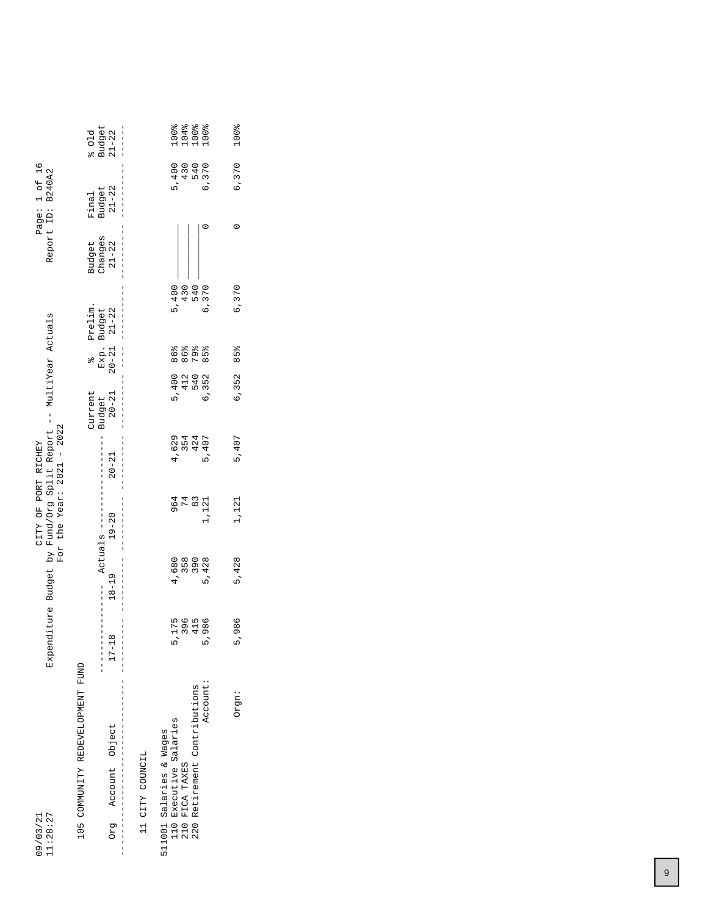| 11:28:27<br>09/03/21                                             |                                       |            | Expenditure Budget by Fund/Org Split Report -- MultiYear Actuals<br>For the Year: $2021 - 2022$<br>CITY OF PORT RICHEY |                                   |                                |                                  |                            |                                | Page: 1 of 16<br>Report ID: B240A2 |                         |
|------------------------------------------------------------------|---------------------------------------|------------|------------------------------------------------------------------------------------------------------------------------|-----------------------------------|--------------------------------|----------------------------------|----------------------------|--------------------------------|------------------------------------|-------------------------|
| 105 COMMUNITY REDEVELOPMENT FUND<br>Account Object<br><b>BJO</b> | $\infty$<br>$\frac{1}{1}$<br>$17 - 1$ | $18 - 19$  | $19 - 20$<br>Actuals --                                                                                                | $20 - 21$                         | Current<br>$20 - 21$<br>Budget | $Exp.$<br>20-21<br>$\frac{1}{2}$ | Prelim.<br>Budget<br>21-22 | Changes<br>$21 - 22$<br>Budget | Budget<br>21-22<br>Final           | Budget<br>21-22<br>501d |
| II CITY COUNCIL                                                  |                                       |            |                                                                                                                        |                                   |                                |                                  |                            |                                |                                    |                         |
| Executive Salaries<br>511001 Salaries & Wages<br>110             | 5,175                                 | 4,680      |                                                                                                                        | 4,629                             | 5,400                          | 86%                              | 5,400                      |                                | 5,400                              |                         |
| Retirement Contributions<br>FICA TAXES<br>210<br>220             | 396<br>415                            | 358<br>390 | 964<br>74<br>$\frac{8}{3}$                                                                                             | 5、4<br>8<br>8<br>9<br>9<br>9<br>9 |                                | 86%<br>79%<br>412<br>540         | 430<br>540                 |                                | 430<br>540                         |                         |
| Account:                                                         | 5,986                                 | 5,428      | 1,121                                                                                                                  |                                   | 6,352                          | $85^{8}$                         | 6,370                      |                                | 6,370                              |                         |
| Orgn:                                                            | 5,986                                 | 5,428      | 1,121                                                                                                                  | 5,407                             | 6,352                          | 85%                              | 6,370                      | 0                              | 6,370                              | 100%                    |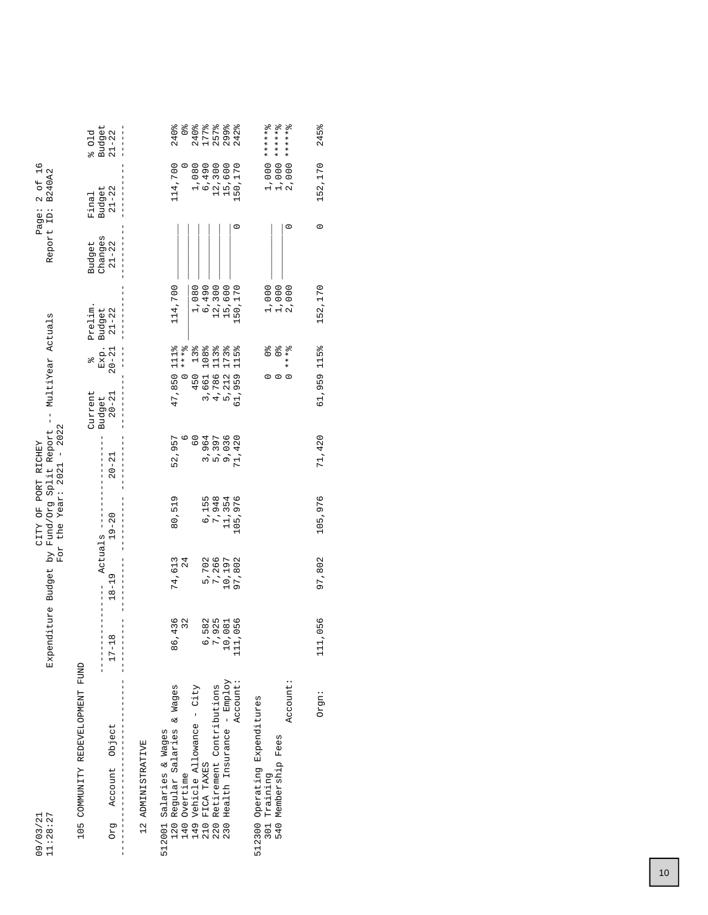|                                                                                                     | $\begin{array}{c} \texttt{Budget} \\ 21-22 \end{array}$<br>801d |                   |                         | 240%<br>114,700            | $\frac{1}{\sqrt{6}}$ | 240%                                                                         | 177%<br>1,080<br>6,490<br>12,300 | 257%                     | 299%<br>15,600                | 242%<br>50,170 | $1,000***$<br>$1,000$ ******<br>2,000 *******             |
|-----------------------------------------------------------------------------------------------------|-----------------------------------------------------------------|-------------------|-------------------------|----------------------------|----------------------|------------------------------------------------------------------------------|----------------------------------|--------------------------|-------------------------------|----------------|-----------------------------------------------------------|
| Page: 2 of 16<br>Report ID: B240A2                                                                  | Budget<br>21-22<br>Final                                        |                   |                         |                            |                      |                                                                              |                                  |                          |                               |                |                                                           |
|                                                                                                     | Budget<br>Changes<br>$21 - 22$                                  |                   |                         |                            |                      |                                                                              |                                  |                          |                               |                |                                                           |
|                                                                                                     | Prelim<br>Exp. Budget<br>20-21 21-22                            |                   |                         | 114,700                    |                      | 1,080                                                                        | 6,490                            | 12,300                   | 15,600                        | 150,170        | 1,000<br>2,000<br>1,000                                   |
|                                                                                                     | olo                                                             |                   |                         | 111 <sub>o</sub><br>47,850 | $* * * 2$            | 13%<br>450                                                                   | 108%<br>3,661                    | 113%<br>4,786            | 173%<br>5,212                 | 115%<br>61,959 | olo<br>O<br>$* * * 8$<br>$\circ$<br>0                     |
|                                                                                                     | Current<br>$20 - 21$<br>Budget                                  |                   |                         |                            |                      | $\overline{6}$                                                               |                                  |                          |                               |                |                                                           |
|                                                                                                     | $20 - 21$                                                       |                   |                         | 52,957                     |                      |                                                                              | 3,964                            | 5,397                    | 9,036                         | 71,420         |                                                           |
| by Fund/Org Split Report -- MultiYear Actuals<br>For the Year: $2021 - 2022$<br>CITY OF PORT RICHEY | $19 - 20$<br>Actuals ---                                        |                   |                         | 80,519                     |                      |                                                                              | 6,155                            | 7,948                    | 11,354                        | 105,976        |                                                           |
|                                                                                                     | $18 - 19$                                                       |                   |                         | 74,613                     | 24                   |                                                                              |                                  | 5,702<br>7,266           | 10,197                        | 97,802         |                                                           |
| Expenditure Budget                                                                                  | $17 - 18$                                                       |                   |                         | 436<br>86                  | 32                   |                                                                              | 582                              | 925<br>ŗ                 | 081<br>$\overline{a}$         | 056<br>$\Xi$   |                                                           |
|                                                                                                     | 105 COMMUNITY REDEVELOPMENT FUND<br>Org Account Object          |                   |                         |                            |                      | 120 Regular Salaries & Wages<br>140 Overtime<br>149 Vehicle Allowance - City |                                  | Retirement Contributions | 230 Health Insurance - Employ | Account:       | Account:<br>512300 Operating Expenditures<br>301 Training |
| 11:28:27<br>09/03/21                                                                                |                                                                 | 12 ADMINISTRATIVE | 512001 Salaries & Wages |                            |                      |                                                                              | FICA TAXES<br>210                | 220                      |                               |                | 540 Membership Fees                                       |

Orgn: 111,056 97,802 105,976 71,420 61,959 115% 152,170 0 152,170 245%

97,802 105,976

111,056

Orgn:

71,420

245%

152,170

 $\circ$ 

152,170

61,959 115%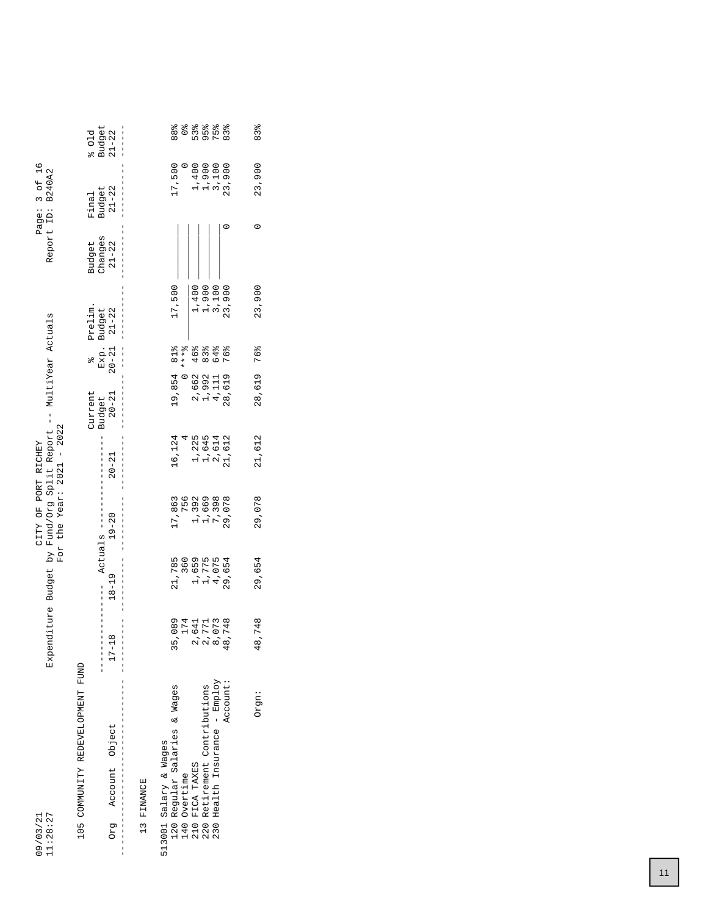| 11:28:27<br>09/03/21                              |                                       |                         | CITY OF PORT RICHEY     | Expenditure Budget by Fund/Org Split Report --<br>For the Year: $2021 - 2022$ |                     | MultiYear Actuals          |                |                      | Page: 3 of 16<br>Report ID: B240A2 |                     |
|---------------------------------------------------|---------------------------------------|-------------------------|-------------------------|-------------------------------------------------------------------------------|---------------------|----------------------------|----------------|----------------------|------------------------------------|---------------------|
| 105 COMMUNITY REDEVELOPMENT FUND                  |                                       |                         |                         |                                                                               | Current             | $\frac{1}{2}$              | Prelim.        | Budget               | Final                              | 801d                |
| Account Object<br>630                             | $^{\circ}$<br>$17 - 1$                | $18 - 19$               | $19 - 20$<br>Actuals -- | $20 - 21$                                                                     | $20 - 21$<br>Budget | Exp. Budget<br>20-21 21-22 |                | Changes<br>$21 - 22$ | $21 - 22$<br><b>Budget</b>         | Budget<br>$21 - 22$ |
| 13 FINANCE                                        |                                       |                         |                         |                                                                               |                     |                            |                |                      |                                    |                     |
| Regular Salaries & Wages<br>513001 Salary & Wages |                                       | 21,785                  | 17,863                  | 16,124                                                                        | 19,854              | 81%                        | 17,500         |                      | 17,500                             | 88%                 |
| Overtime<br>$140$<br>$140$<br>$210$               | 35, 075<br>24, 075<br>2441<br>35, 075 | 360                     | 756                     |                                                                               |                     | $* * * 8$                  |                |                      |                                    | $\frac{1}{2}$       |
| FICA TAXES                                        |                                       |                         | 1,392                   |                                                                               | 2,662               | 46%                        | 1,400          |                      | 1,400                              | 53%                 |
| Retirement Contributions<br>220                   |                                       | 1,659<br>1,775<br>4,075 | 1,669                   |                                                                               | 1,992               | $83\frac{8}{6}$            |                |                      | 1,900                              | 95%                 |
| Health Insurance - Employ<br>230                  |                                       |                         | 7,398                   | 1,225<br>1,644<br>2,614<br>21,612                                             | 4, 111              | 64%                        | 1,900<br>3,100 |                      | 3,100                              | 75%                 |
| Account:                                          | ,748                                  | 29,654                  | 29,078                  |                                                                               | 28,619              | 76%                        | 23,900         |                      | 23,900                             | 83%                 |
| Orgn:                                             | ,748<br>$\frac{48}{}$                 | 29,654                  | 29,078                  | 21,612                                                                        | 28,619              | 76%                        | 23,900         | 0                    | 23,900                             | 83%                 |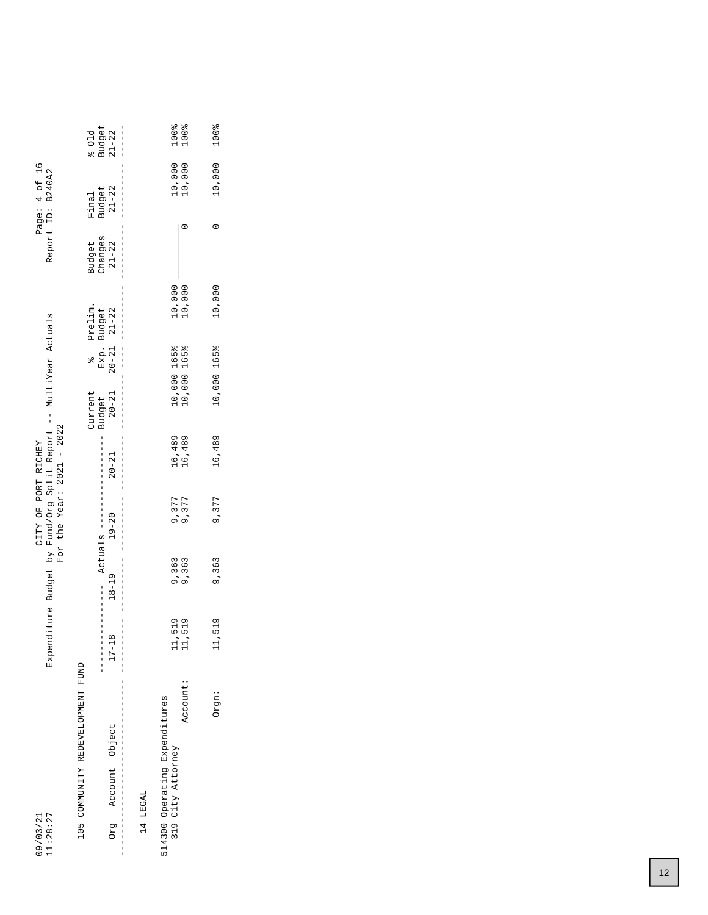|                                                    |                                                   |           | Expenditure Budget by Fund/Org Split Report -- MultiYear Actuals<br>For the Year: $2021 - 2022$<br>CITY OF PORT RICHEY |           |                                |                                                                                           |                          |                                                   | Page: 4 of 16<br>Report ID: B240A2              |                                                                 |
|----------------------------------------------------|---------------------------------------------------|-----------|------------------------------------------------------------------------------------------------------------------------|-----------|--------------------------------|-------------------------------------------------------------------------------------------|--------------------------|---------------------------------------------------|-------------------------------------------------|-----------------------------------------------------------------|
| 105 COMMUNITY REDEVELOPMENT FUND<br>Account Object | $\infty$<br>j<br> <br> <br>$17 - 1$<br> <br> <br> | $18 - 19$ | Actuals ----<br>$19 - 20$                                                                                              | $20 - 21$ | $20 - 21$<br>Current<br>Budget | Exp. Budget<br>20-21 21-22<br>$\begin{array}{c} 1 \\ 1 \\ 1 \end{array}$<br>$\frac{1}{2}$ | Prelim.<br>$\frac{1}{1}$ | Changes<br>Budget<br>$21 - 22$<br> <br> <br> <br> | $21 - 22$<br>Budget<br>Final<br> <br> <br> <br> | $\begin{array}{c} \texttt{Budget} \\ 21-22 \end{array}$<br>501d |
|                                                    |                                                   |           |                                                                                                                        |           |                                |                                                                                           |                          |                                                   |                                                 |                                                                 |
| 514300 Operating Expenditures<br>319 City Attorney | 11,519                                            | 9,363     | 9,377<br>9,377                                                                                                         | 16,489    |                                | 10,000 165%<br>10,000 165%                                                                |                          |                                                   |                                                 | 100%<br>100%                                                    |
| Account:                                           | 11,519                                            | 9,363     |                                                                                                                        | 16,489    |                                |                                                                                           | 10,000<br>10,000         |                                                   | 10,000<br>10,000                                |                                                                 |
| Orgn:                                              | 11,519                                            | 9,363     | 9,377                                                                                                                  | 16,489    |                                | 10,000 165%                                                                               | 10,000                   | $\circ$                                           | 10,000                                          | 100%                                                            |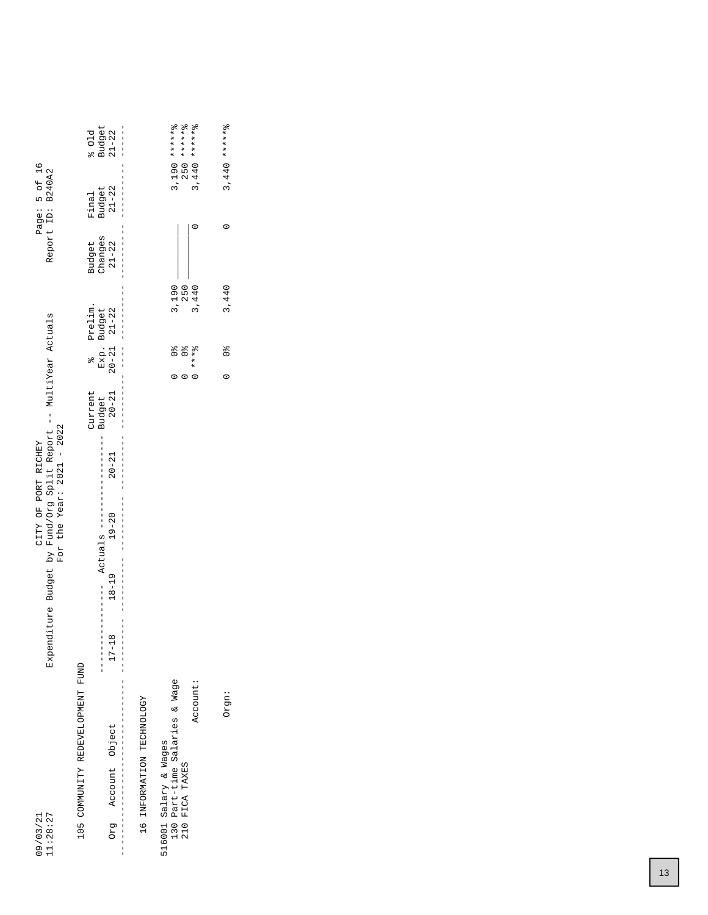| $250$ ***** $8$<br>$3,440$ ******8<br>$3,190$ ******8<br>Budget<br>601d<br>$\begin{bmatrix} 1 \\ 1 \\ 1 \\ 1 \end{bmatrix}$<br>Page: 5 of 16                                                               | $3,440$ ******8          |
|------------------------------------------------------------------------------------------------------------------------------------------------------------------------------------------------------------|--------------------------|
| Budget<br>21-22<br>Final                                                                                                                                                                                   |                          |
| Report ID: B240A2<br>Changes<br>Budget<br>$21 - 22$                                                                                                                                                        | 0                        |
| 3,190<br>3,440<br>250<br>Prelim.                                                                                                                                                                           | 3,440                    |
| Exp. Budget<br>20-21 21-22<br>$\begin{array}{c} \n\downarrow \\ \downarrow \\ \downarrow\n\end{array}$<br>$0 * * * 8$<br>olo<br>O<br>$\frac{1}{2}$<br>olo                                                  | $\frac{1}{2}$<br>$\circ$ |
| Current<br>$20 - 21$<br>Budget                                                                                                                                                                             |                          |
| $\frac{1}{1}$<br>CITY OF PORT RICHEY<br>$20 - 21$                                                                                                                                                          |                          |
| For the Year: $2021 - 2022$<br>$19 - 20$                                                                                                                                                                   |                          |
| Expenditure Budget by Fund/Org Split Report -- MultiYear Actuals<br>$18 - 19$                                                                                                                              |                          |
| <br> <br> <br> <br> <br>$17 - 18$                                                                                                                                                                          |                          |
| 105 COMMUNITY REDEVELOPMENT FUND<br>130 Part-time Salaries & Wage<br>Account:<br>IQALIMPORMATION TECHNOLOGY<br>Account Object<br>516001 Salary & Wages<br>FICA TAXES<br>11:28:27<br>09/03/21<br>pra<br>210 | Orgn:                    |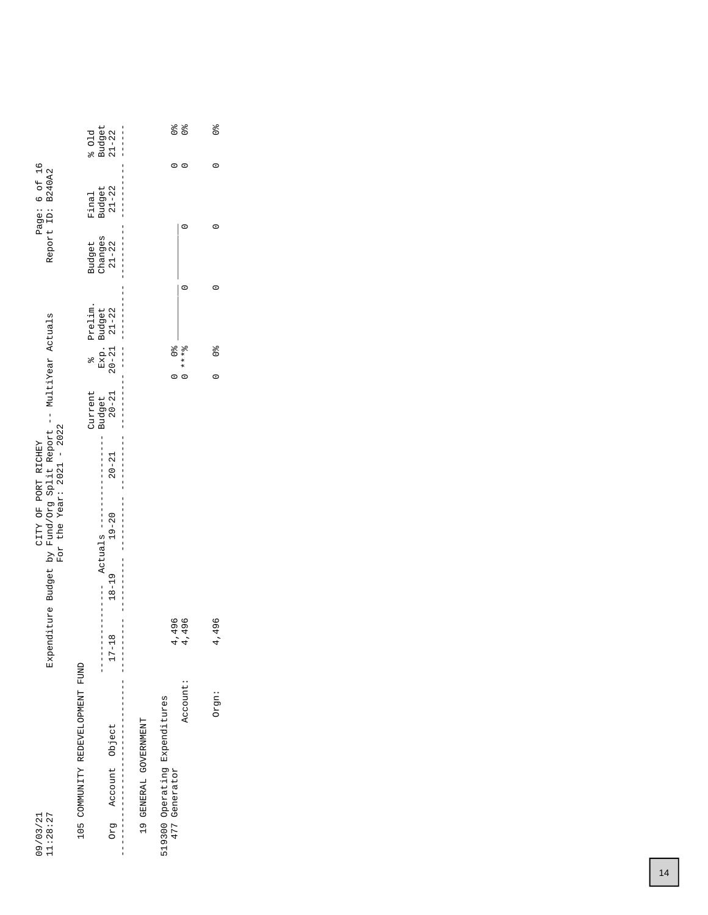| 11:28:27<br>09/03/21                           |                                                              |                            |                                                        | Expenditure Budget by Fund/Org Split Report -- MultiYear Actuals<br>For the Year: $2021 - 2022$<br>CITY OF PORT RICHEY |                                               |                                          |                     |                      | Page: 6 of 16<br>Report ID: B240A2 |                      |
|------------------------------------------------|--------------------------------------------------------------|----------------------------|--------------------------------------------------------|------------------------------------------------------------------------------------------------------------------------|-----------------------------------------------|------------------------------------------|---------------------|----------------------|------------------------------------|----------------------|
| 105 COMMUNITY REDEVELOPMENT FUND               |                                                              |                            |                                                        |                                                                                                                        | Current                                       | $\frac{1}{2}$                            | Prelim.             | Budget               | Final                              | 601d                 |
| Account Object<br>Drg<br>$\frac{1}{1}$         | $\frac{1}{1}$<br>$17 - 18$<br>$\frac{1}{2}$<br>$\frac{1}{1}$ | $18 - 19$<br>$\frac{1}{1}$ | Actuals ---<br> <br> <br> <br> <br> <br> <br>$19 - 20$ | I<br>$20 - 21$                                                                                                         | $20 - 21$<br> <br>   <br>   <br>   <br>Budget | Exp. Budget<br>20-21 21-22<br> <br> <br> | <br> <br> <br> <br> | Changes<br>$21 - 22$ | Budget<br>21-22                    | Budget<br>$21 - 22$  |
| 19 GENERAL GOVERNMENT                          |                                                              |                            |                                                        |                                                                                                                        |                                               |                                          |                     |                      |                                    |                      |
| 519300 Operating Expenditures<br>477 Generator | .496<br>4                                                    |                            |                                                        |                                                                                                                        |                                               | $0\degree$                               |                     |                      |                                    | o <sub>lo</sub>      |
| Account:                                       | 496<br>4                                                     |                            |                                                        |                                                                                                                        |                                               | $0 + x + 8$                              |                     |                      |                                    | $\frac{1}{2}$<br>c   |
| Orgn:                                          | 496<br>4                                                     |                            |                                                        |                                                                                                                        |                                               | $\frac{1}{2}$                            |                     |                      |                                    | $\frac{1}{\sqrt{6}}$ |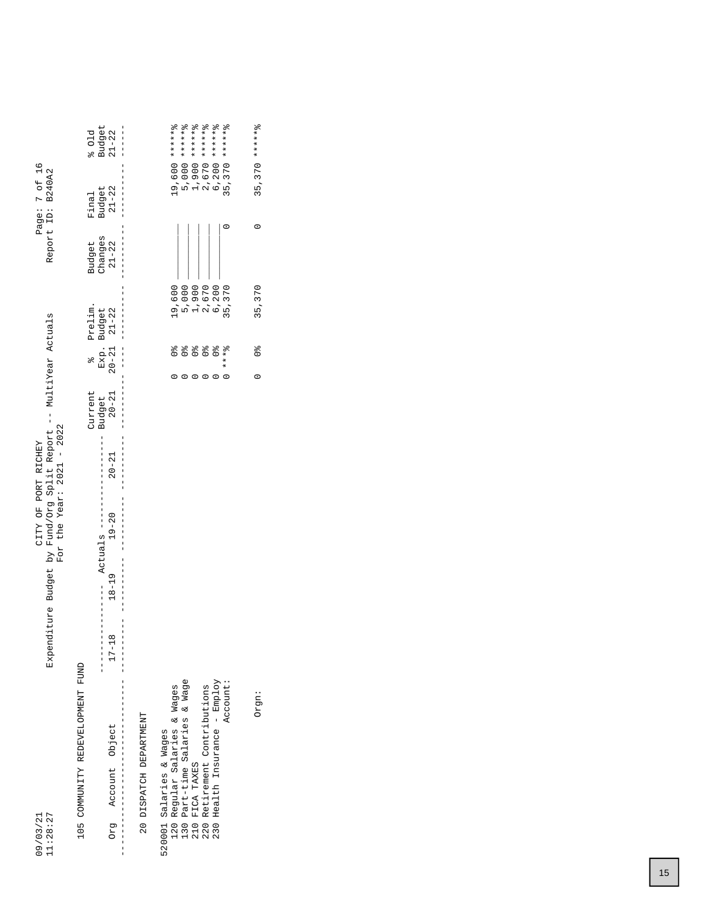| 11:28:27<br>09/03/21                                                  | Expenditure Budget by Fund/Org Split Report -- MultiYear Actuals                 |                          | For the Year: $2021 - 2022$<br>CITY OF PORT RICHEY |                     |           |                   |                                   |                      | Page: 7 of 16<br>Report ID: B240A2 |                                                           |
|-----------------------------------------------------------------------|----------------------------------------------------------------------------------|--------------------------|----------------------------------------------------|---------------------|-----------|-------------------|-----------------------------------|----------------------|------------------------------------|-----------------------------------------------------------|
| 105 COMMUNITY REDEVELOPMENT FUND                                      |                                                                                  |                          |                                                    | Current             |           | $\frac{1}{2}$     | Prelim.                           | Budget               | Final                              | 501d                                                      |
| Account Object<br>Org                                                 | $18 - 19$<br>$\begin{array}{c} 1 \\ 1 \\ 1 \end{array}$<br>$\infty$<br>$17 - 11$ | Actuals ---<br>$19 - 20$ |                                                    | Budget<br>$20 - 21$ | $20 - 21$ | Exp.<br>$20 - 21$ | Budget<br>21-22                   | Changes<br>$21 - 22$ | Budget<br>$21 - 22$                | $\begin{array}{c} \texttt{Budget} \\ 21 - 22 \end{array}$ |
| 20 DISPATCH DEPARTMENT                                                |                                                                                  |                          |                                                    |                     |           |                   |                                   |                      |                                    |                                                           |
| Regular Salaries & Wages<br>520001 Salaries & Wages                   |                                                                                  |                          |                                                    |                     |           |                   | 19,600                            |                      |                                    | 19,600 *******                                            |
| Part-time Salaries & Wage<br>0 0 0 0<br>0 0 0 0<br>1 1 0 0<br>0 1 0 0 |                                                                                  |                          |                                                    |                     |           |                   |                                   |                      |                                    | 5,000 *******                                             |
| FICA TAXES                                                            |                                                                                  |                          |                                                    |                     |           |                   |                                   |                      |                                    | 1,900 *******                                             |
| Retirement Contributions                                              |                                                                                  |                          |                                                    |                     |           |                   |                                   |                      |                                    |                                                           |
| Health Insurance - Employ<br>230                                      |                                                                                  |                          |                                                    |                     |           |                   | 5,000<br>12,670<br>6,200<br>6,200 |                      |                                    | $2,670$ ******8<br>6,200 ******8                          |
| Account:                                                              |                                                                                  |                          |                                                    |                     |           | $* * * *$         | 35,370                            |                      |                                    | $35,370$ ******8                                          |
| Orgn:                                                                 |                                                                                  |                          |                                                    |                     | $\circ$   | $\frac{1}{2}$     | 35,370                            | $\circ$              |                                    | $35,370$ ******                                           |
|                                                                       |                                                                                  |                          |                                                    |                     |           |                   |                                   |                      |                                    |                                                           |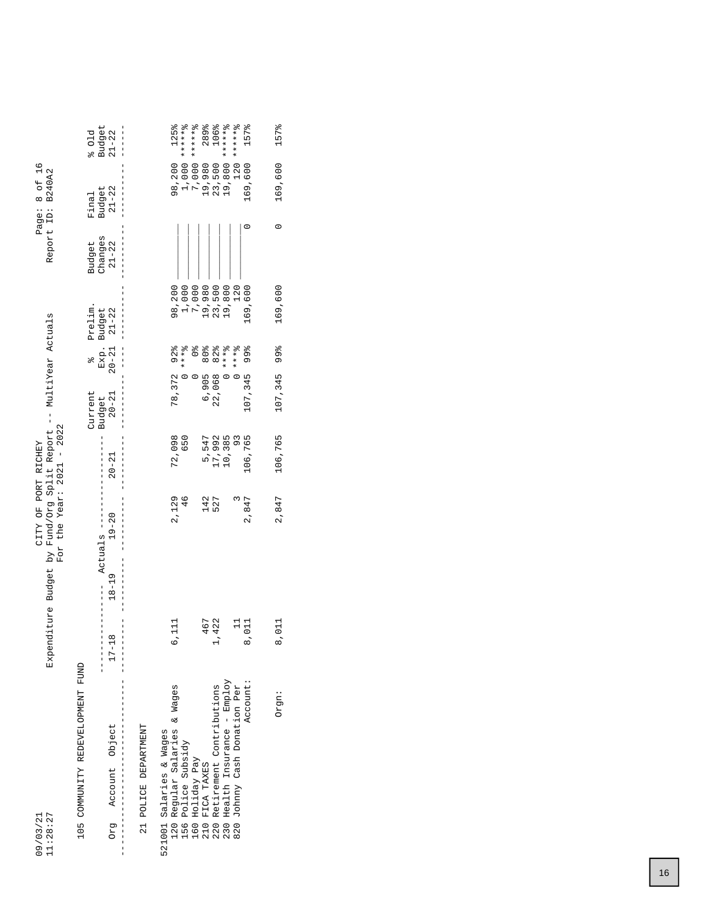|                                                                                                                        | Budget<br>$21 - 22$<br>601d<br>$\frac{1}{1}$ $\frac{1}{1}$ $\frac{1}{1}$ | 125%<br>*******<br>******%<br>289%<br>106%<br>******<br>******%<br>157%                                                                                                                                                                                                |
|------------------------------------------------------------------------------------------------------------------------|--------------------------------------------------------------------------|------------------------------------------------------------------------------------------------------------------------------------------------------------------------------------------------------------------------------------------------------------------------|
| Page: 8 of 16<br>Report ID: B240A2                                                                                     | $21 - 22$<br>Budget<br>Final                                             | 19,800<br>1,000<br>7,000<br>120<br>98,200<br>169,600<br>19,980<br>23,500                                                                                                                                                                                               |
|                                                                                                                        | Changes<br>Budget<br>$21 - 22$                                           |                                                                                                                                                                                                                                                                        |
|                                                                                                                        | Prelim.                                                                  | 169,600<br>98,200<br>1,000<br>7,000<br>19,980<br>23,500<br>19,800<br>120                                                                                                                                                                                               |
|                                                                                                                        | $20 - 21$ $21 - 22$<br>Exp. Budget<br>olo                                | $0 * * * *$<br>$0 + x * x$<br>$0***0$<br>$\frac{1}{2}$                                                                                                                                                                                                                 |
|                                                                                                                        | Current<br>$20 - 21$<br>Budget                                           | 78, 372 92%<br>107,345 99%<br>6,905 80%<br>22,068 82%                                                                                                                                                                                                                  |
|                                                                                                                        | $20 - 21$                                                                | 72,098<br>106,765<br>17,992<br>10,385<br>5,547<br>650<br>93                                                                                                                                                                                                            |
| Expenditure Budget by Fund/Org Split Report -- MultiYear Actuals<br>For the Year: $2021 - 2022$<br>CITY OF PORT RICHEY | $19 - 20$<br>Actuals ---                                                 | 2,129<br>142<br>2,847<br>$\frac{6}{4}$<br>527                                                                                                                                                                                                                          |
|                                                                                                                        | $18 - 19$                                                                |                                                                                                                                                                                                                                                                        |
|                                                                                                                        | $17 - 18$                                                                | 467<br>422<br>$\vec{=}$<br>011<br>급<br>$\dot{\circ}$<br>O                                                                                                                                                                                                              |
| 11:28:27<br>09/03/21                                                                                                   | 105 COMMUNITY REDEVELOPMENT FUND<br>Account Object<br><b>BJO</b>         | Health Insurance - Employ<br>Account:<br>Retirement Contributions<br>120 Regular Salaries & Wages<br>820 Johnny Cash Donation Per<br>21 POLICE DEPARTMENT<br>521001 Salaries & Wages<br>Police Subsidy<br>Holiday Pay<br>FICA TAXES<br>230<br>160<br>210<br>220<br>156 |

Orgn: 8,011 2,847 106,765 107,345 99% 169,600 0 169,600 157%

2,847

8,011

Orgn:

106,765

157%

169,600

 $\circ$ 

169,600

107,345 99%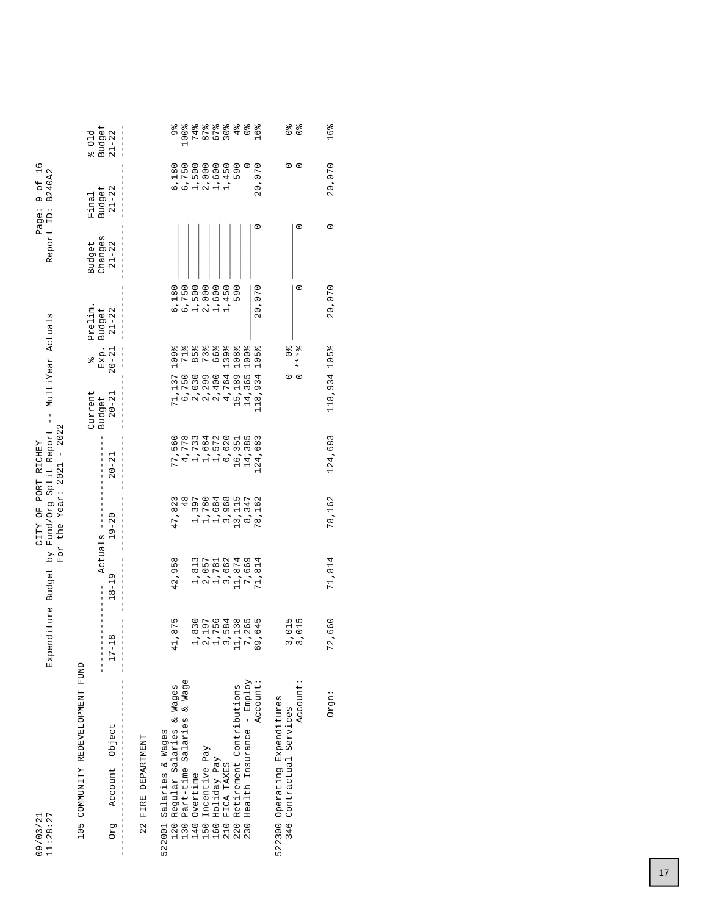| 11:28:27<br>09/03/21                                          | Expenditure Budget    | $\overline{Y}$            | CITY OF PORT RICHEY     | Fund/Org Split Report --<br>For the Year: $2021 - 2022$ | MultiYear Actuals   |                   |                 |                      | 9 0f 16<br>Report ID: B240A2<br>Page: |                         |
|---------------------------------------------------------------|-----------------------|---------------------------|-------------------------|---------------------------------------------------------|---------------------|-------------------|-----------------|----------------------|---------------------------------------|-------------------------|
| 105 COMMUNITY REDEVELOPMENT FUND                              |                       |                           |                         |                                                         | Current             | olo               | Prelim.         | Budget               | Final                                 | 601d                    |
| Account Object<br>Drg                                         | $\infty$<br>$17 - 11$ | $18 - 19$                 | $19 - 20$<br>Actuals -- | $20 - 21$                                               | $20 - 21$<br>Budget | Exp.<br>$20 - 21$ | Budget<br>21-22 | changes<br>$21 - 22$ | Budget<br>21-22                       | Budget<br>$21 - 22$     |
| 22 FIRE DEPARTMENT                                            |                       |                           |                         |                                                         |                     |                   |                 |                      |                                       |                         |
| 522001 Salaries & Wages                                       |                       |                           |                         |                                                         |                     |                   |                 |                      |                                       |                         |
| Regular Salaries & Wages<br>120                               | 1,875<br>4            | 42,958                    | 47,823                  | 77,560                                                  | 71,137              | 109%              | 6,180           |                      | 6,180                                 | 9%<br>%                 |
| Part-time Salaries & Wage<br>130                              |                       |                           | $\frac{8}{4}$           | 4,778                                                   |                     |                   |                 |                      | 6,750                                 | 100%                    |
| 140                                                           |                       |                           | 1,397                   | 1,733                                                   | 6,750<br>2,030      | $85\frac{8}{9}$   | 6,750<br>1,500  |                      | 1,500                                 |                         |
| 150                                                           |                       | 1,813<br>2,057            | 1,780                   | 1,684                                                   | 2,299               | 73%               | 2,000           |                      | 2,000                                 | そうできる<br>セレフロット<br>マロマヒ |
| 160                                                           |                       |                           | 1,684                   | 1,572                                                   | 2,400               | 66%               | 1,600           |                      | 1,600                                 |                         |
| Overtime<br>Incentive Pay<br>Holiday Pay<br>FICA TAXES<br>210 |                       | 1,781<br>3,662            | 3,968                   |                                                         | 4,764               | 139%              | 450             |                      | 1,450                                 |                         |
| Retirement Contributions<br>220                               |                       | 11,874<br>7,669<br>71,814 | 13, 115                 | 6,620<br>16,351                                         | 15,189<br>14,365    | 108%              | 590             |                      | 590                                   | नै।<br>क                |
| Health Insurance - Employ<br>230                              |                       |                           | 8,347                   | 14,385                                                  |                     | 100%              |                 |                      |                                       | $\frac{1}{26}$          |
| Account:                                                      | ,645<br>Ğ             |                           | 78,162                  | 124,683                                                 | 118,934             | 105%              | 20,070          | $\circ$              | 20,070                                | 16%                     |
| 522300 Operating Expenditures<br>Contractual Services<br>346  |                       |                           |                         |                                                         |                     |                   |                 |                      | 0                                     | $\frac{1}{2}$           |
| Account:                                                      | 3,015<br>3,015        |                           |                         |                                                         | $\circ$             | $* * * 2$         | $\circ$         | $\circ$              | $\circ$                               | $\frac{1}{2}$           |
| Orgn:                                                         | 72,660                | 71,814                    | 78,162                  | 124,683                                                 | 118,934             | 105%              | 20,070          | $\circ$              | 20,070                                | 16%                     |

 $\ddot{\phantom{0}}$ 

 $\mathbf{A}$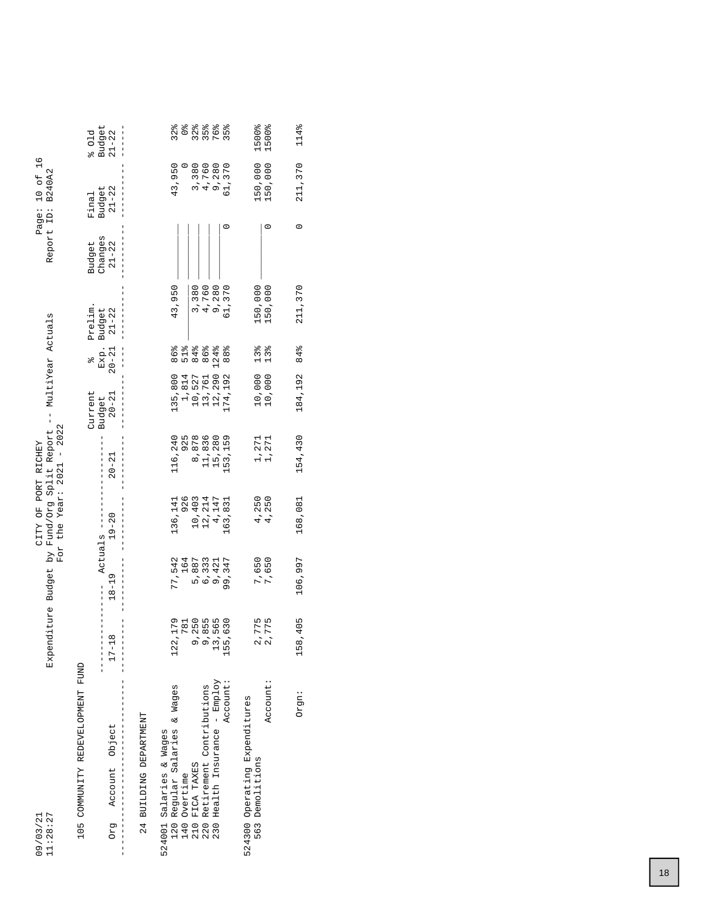| 11:28:27<br>09/03/21                                       | Expenditure Budget     | i<br>Yq                | CITY OF PORT RICHEY | For the Year: $2021 - 2022$<br>Fund/Org Split Report | MultiYear Actuals<br>$\frac{1}{1}$ |                   |                     | Report ID:           | $10$ of $16$<br><b>B240A2</b><br>Page: |                                           |
|------------------------------------------------------------|------------------------|------------------------|---------------------|------------------------------------------------------|------------------------------------|-------------------|---------------------|----------------------|----------------------------------------|-------------------------------------------|
| 105 COMMUNITY REDEVELOPMENT FUND                           |                        |                        |                     |                                                      | Current                            | olo               | Prelim.             | Budget               | Final                                  | 601d                                      |
| Account Object<br>Drg                                      | $17 - 18$              | Actuals -<br>$18 - 19$ | $19 - 20$           | $20 - 21$                                            | $20 - 21$<br>Budget                | Exp.<br>$20 - 21$ | Budget<br>$21 - 22$ | Changes<br>$21 - 22$ | $21 - 22$<br>Budget                    | Budget<br>$21 - 22$                       |
| 24 BUILDING DEPARTMENT                                     |                        |                        |                     |                                                      |                                    |                   |                     |                      |                                        |                                           |
| Regular Salaries & Wages<br>524001 Salaries & Wages<br>120 | 2,179<br>$\frac{2}{3}$ | 77,542                 | 136,141             | 116,240                                              | 135,800                            | 86%               | 43,950              |                      | 43,950                                 | $32\frac{8}{6}$                           |
|                                                            | 781                    | 164                    | 926                 | 925                                                  | 1,814                              | 51%               |                     |                      |                                        | $\frac{1}{2}$                             |
| 140                                                        |                        | 5,887                  | 10,403              | 8,878                                                | 10,527                             | 84%               | 3,380               |                      | 3,380                                  |                                           |
| Overtime<br>FICA TAXES<br>Retirement Contributions<br>220  | 9,250<br>9,855         | 6,333                  | 12,214              | 11,836                                               | 13,761                             | 86%               | 4,760               |                      | 4,760                                  | 8<br>2<br>3<br>3<br>3<br>7<br>7<br>2<br>3 |
| Health Insurance - Employ<br>230                           | 13,565                 | 9,421                  | 4,147               | 15,280                                               | 12,290                             | 124%              | 9,280               |                      | 9,280                                  |                                           |
| Account:                                                   | 155,630                | 99,347                 | 163,831             | 153,159                                              | 174,192                            | 88%               | 61,370              |                      | 61,370                                 | $35\frac{6}{6}$                           |
| 524300 Operating Expenditures<br>Demolitions<br>563        |                        |                        | 4,250               |                                                      |                                    |                   |                     |                      |                                        | 1500%                                     |
| Account:                                                   | 2,775<br>2,775         | 7,650<br>7,650         | 4,250               | 1,271<br>1,271                                       | 10,000<br>10,000                   | $13%$<br>$13%$    | 150,000<br>150,000  | $\circ$              | 150,000<br>150,000                     | 1500%                                     |
| Orgn:                                                      | 158,405                | 106,997                | 168,081             | 154,430                                              | 184,192                            | 84%               | 211, 370            | $\circ$              | 211,370                                | 114%                                      |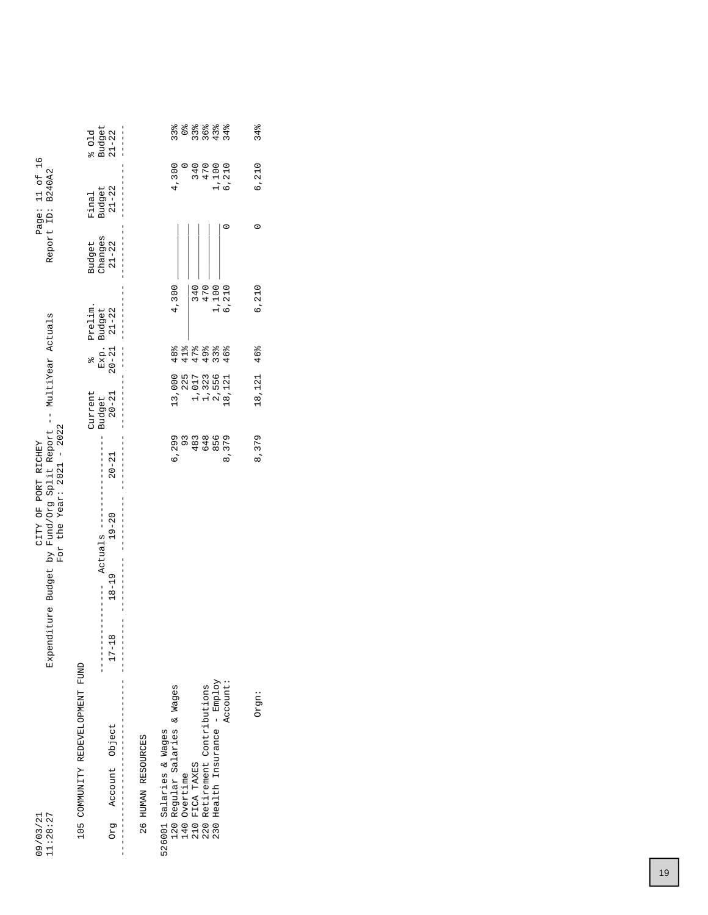| 11:28:27<br>09/03/21                                       | Expenditure Budget by Fund/Org Split Report -- MultiYear Actuals | For the Year: $2021 - 2022$<br>CITY OF PORT RICHEY |           |                                |                          |                                | Report ID:                     | Page: 11 of 16<br><b>B240A2</b> |                             |
|------------------------------------------------------------|------------------------------------------------------------------|----------------------------------------------------|-----------|--------------------------------|--------------------------|--------------------------------|--------------------------------|---------------------------------|-----------------------------|
| 105 COMMUNITY REDEVELOPMENT FUND<br>Account Object<br>pra  | $18 - 19$<br>$\infty$<br>$\frac{1}{1}$<br>$17 - 1$               | Actuals ----<br>$19 - 20$                          | $20 - 21$ | Current<br>$20 - 21$<br>Budget | $20 - 21$<br>Exp.<br>olo | Prelim.<br>$21 - 22$<br>Budget | Changes<br>Budget<br>$21 - 22$ | $21 - 22$<br>Budget<br>Final    | Budget<br>801d<br>$21 - 22$ |
| 26 HUMAN RESOURCES                                         |                                                                  |                                                    |           |                                |                          |                                |                                |                                 |                             |
| Regular Salaries & Wages<br>526001 Salaries & Wages<br>120 |                                                                  |                                                    | 6,299     | 13,000                         | 48%                      | 4,300                          |                                | 4,300                           | 33%                         |
| Overtime<br>140<br>210                                     |                                                                  |                                                    | 93        | 225                            | 41%                      |                                |                                |                                 | $\frac{1}{2}$               |
| FICA TAXES                                                 |                                                                  |                                                    | 483       | 1,017                          | 47%                      | 340                            |                                |                                 | $33\frac{9}{6}$             |
| Retirement Contributions<br>220                            |                                                                  |                                                    | 648       | 1,323                          | 49%                      | 470                            |                                | 340<br>470                      | 36%                         |
| 230 Health Insurance - Employ                              |                                                                  |                                                    | 856       | 2,556                          | 33%                      | 1,100                          |                                | 1,100<br>6,210                  | 43%                         |
| Account:                                                   |                                                                  |                                                    | 8,379     | .8, 121                        | 46%                      | 6,210                          |                                |                                 | 34%                         |
|                                                            |                                                                  |                                                    |           |                                |                          |                                |                                |                                 |                             |
| Orgn:                                                      |                                                                  |                                                    | 8,379     | 18,121                         | 46%                      | 6,210                          | 0                              | 6,210                           | 34%                         |
|                                                            |                                                                  |                                                    |           |                                |                          |                                |                                |                                 |                             |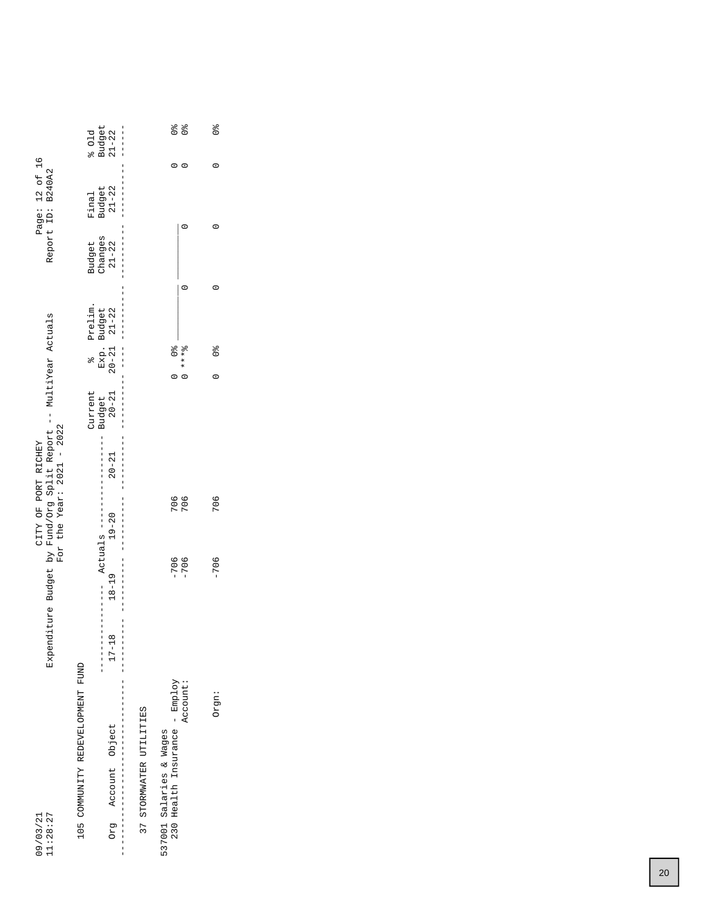| 601d                                  | $\frac{1}{1}$                                                                                                                                                                                              |                                                                       | olo<br>O                                                                                                           |
|---------------------------------------|------------------------------------------------------------------------------------------------------------------------------------------------------------------------------------------------------------|-----------------------------------------------------------------------|--------------------------------------------------------------------------------------------------------------------|
|                                       |                                                                                                                                                                                                            |                                                                       | 0                                                                                                                  |
|                                       |                                                                                                                                                                                                            |                                                                       |                                                                                                                    |
|                                       |                                                                                                                                                                                                            |                                                                       |                                                                                                                    |
|                                       |                                                                                                                                                                                                            |                                                                       |                                                                                                                    |
| $\frac{1}{2}$                         |                                                                                                                                                                                                            | $* * * *$                                                             | °©<br>$\circ$                                                                                                      |
| Current<br>Budget                     |                                                                                                                                                                                                            |                                                                       |                                                                                                                    |
| $20 - 21$                             |                                                                                                                                                                                                            |                                                                       |                                                                                                                    |
|                                       |                                                                                                                                                                                                            |                                                                       | 706                                                                                                                |
| $18 - 19$                             |                                                                                                                                                                                                            |                                                                       | $-706$                                                                                                             |
| $\infty$<br>$\frac{1}{1}$<br>$17 - 1$ |                                                                                                                                                                                                            |                                                                       |                                                                                                                    |
|                                       | 37 STORMWATER UTILITIES                                                                                                                                                                                    | Account:                                                              | Orgn:                                                                                                              |
|                                       | Budget<br>21-22<br>Final<br>Changes<br>$21-22$<br>Budget<br>Prelim.<br>Exp. Budget<br>20-21 21-22<br>$20 - 21$<br>$Actuals$ ----<br>$19 - 20$<br>105 COMMUNITY REDEVELOPMENT FUND<br>Account Object<br>Drg | Budget<br>21-22<br>$\frac{1}{1}$<br>537001 Salaries & Wages<br>י<br>ו | $\frac{1}{2}$<br>$\frac{1}{2}$<br>$\frac{1}{2}$<br>706<br>706<br>$-706$<br>$-706$<br>230 Health Insurance - Employ |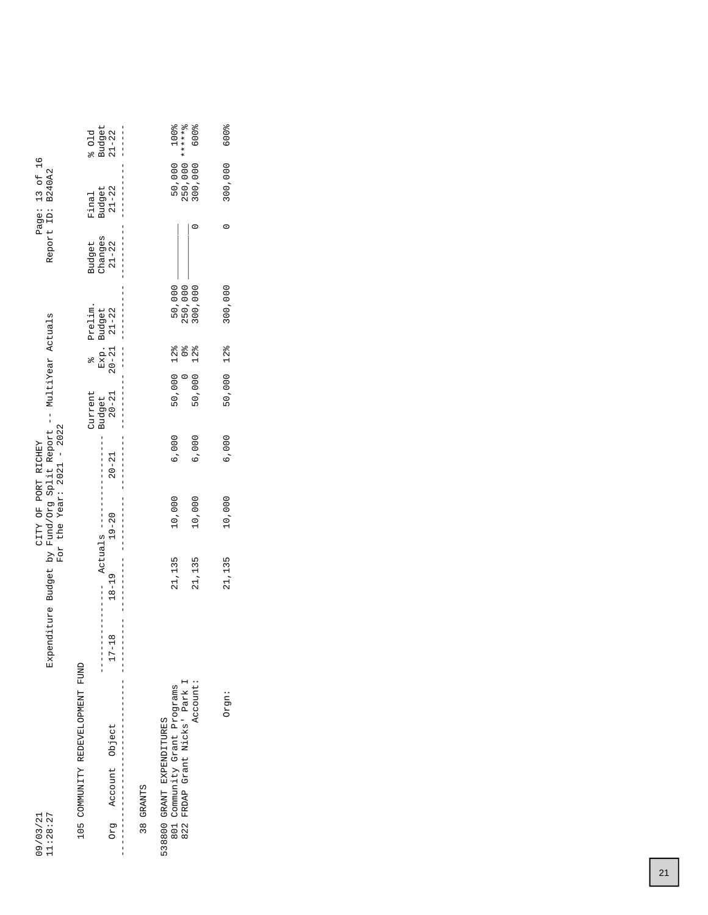|                                                                  | 601d                             | $\begin{array}{c} \texttt{Budget} \\ 21 - 22 \end{array}$<br>$\frac{1}{1}$ |           | 100%                                                                                   | <b>600%</b>     | <b>600%</b> |
|------------------------------------------------------------------|----------------------------------|----------------------------------------------------------------------------|-----------|----------------------------------------------------------------------------------------|-----------------|-------------|
| Page: 13 of 16<br>Report ID: B240A2                              | Final                            | $21 - 22$<br>Budget                                                        |           | 250,000 ******8<br>50,000                                                              | 300,000         | 300,000     |
|                                                                  | Budget                           | Changes<br>$21-22$                                                         |           |                                                                                        |                 | 0           |
|                                                                  | Prelim.                          | Exp. Budget<br>20-21 21-22                                                 |           | 50,000                                                                                 | 250,000         | 300,000     |
|                                                                  | $\frac{1}{2}$                    | $\begin{array}{c} 1 \\ 1 \\ 1 \end{array}$                                 |           | $\frac{1}{2}$                                                                          | $12\frac{8}{6}$ | 12%         |
|                                                                  | Current                          | $20 - 21$<br> <br> <br> <br>Budget                                         |           | 50,000 12%<br>$\circ$                                                                  | 50,000          | 50,000      |
|                                                                  |                                  | $20 - 21$                                                                  |           | 6,000                                                                                  | 6,000           | 6,000       |
| For the Year: $2021 - 2022$<br>CITY OF PORT RICHEY               |                                  | $19 - 20$                                                                  |           | 10,000                                                                                 | 10,000          | 10,000      |
| Expenditure Budget by Fund/Org Split Report -- MultiYear Actuals |                                  | $---$ Actuals $--$<br>$18 - 19$                                            |           | 21,135                                                                                 | 21,135          | 21,135      |
|                                                                  |                                  | $\infty$<br> <br> <br> <br> <br>$17 - 1$                                   |           |                                                                                        |                 |             |
|                                                                  | 105 COMMUNITY REDEVELOPMENT FUND | Account Object<br>Drg                                                      | 38 GRANTS | FRDAP Grant Nicks' Park I<br>801 Community Grant Programs<br>538800 GRANT EXPENDITURES | Account:        | Orgn:       |
| 11:28:27<br>09/03/21                                             |                                  |                                                                            |           | 822                                                                                    |                 |             |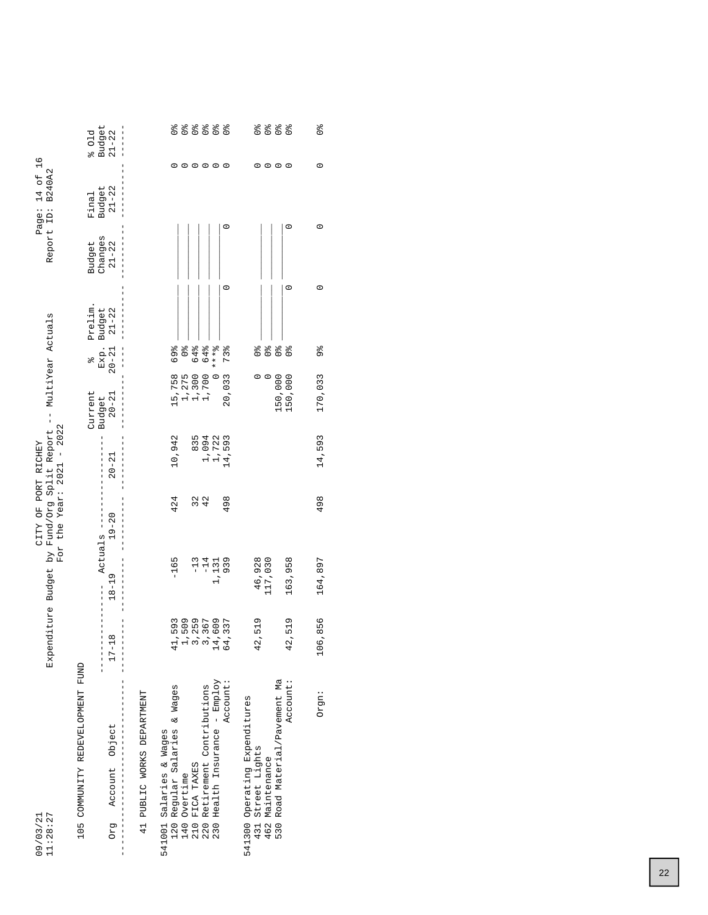| 11:28:27<br>09/03/21                                       | Expenditure Budget                                   | i kq              | For the Year: $2021 - 2022$<br>CITY OF PORT RICHEY | Fund/Org Split Report -- MultiYear Actuals |                          |                                         |                 | Report ID:           | B240A2<br>$14$ of<br>Page: | $\frac{9}{1}$                  |
|------------------------------------------------------------|------------------------------------------------------|-------------------|----------------------------------------------------|--------------------------------------------|--------------------------|-----------------------------------------|-----------------|----------------------|----------------------------|--------------------------------|
| 105 COMMUNITY REDEVELOPMENT FUND                           |                                                      |                   |                                                    |                                            | Current                  | olo                                     | Prelim.         | Budget               | Final                      | 601d                           |
| Account Object<br>Drg                                      | $^{\circ}$<br>$17 - 11$                              | $18 - 19$         | $19 - 20$<br>Actuals ---                           | $20 - 21$                                  | $20 - 21$<br>Budget      | Exp.<br>$20 - 21$                       | Budget<br>21-22 | Changes<br>$21 - 22$ | Budget<br>21-22            | Budget<br>$21 - 22$            |
| 41 PUBLIC WORKS DEPARTMENT                                 |                                                      |                   |                                                    |                                            |                          |                                         |                 |                      |                            |                                |
| Regular Salaries & Wages<br>541001 Salaries & Wages<br>120 | 11,593<br>4                                          | $-165$            | 424                                                | 10,942                                     |                          | 69%                                     |                 |                      | 0                          | $\frac{1}{2}$                  |
| Overtime<br>140                                            |                                                      |                   |                                                    |                                            | 15,758<br>1,275<br>1,300 | $\frac{1}{2}$                           |                 |                      |                            | $\frac{1}{2}$                  |
|                                                            | 1<br>1<br>1 2 3 4 4<br>1 3 4 4<br>1 3 4 4<br>1 6 4 4 | $-13$             |                                                    | 835                                        |                          | 64%                                     |                 |                      | $\circ \circ \circ \circ$  | $\frac{1}{96}$                 |
| FICA TAXES<br>Retirement Contributions<br>210<br>220       |                                                      | $-14$             | 32<br>42                                           | 1,094                                      | 1,700                    | 64%                                     |                 |                      |                            | $\frac{6}{9}$                  |
| Health Insurance - Employ<br>230                           |                                                      | 1,131             |                                                    | 1,722                                      | $\circ$                  | $* * * 2$                               |                 |                      |                            | $\frac{6}{9}$                  |
| Account:                                                   |                                                      | 939               | 498                                                | 14,593                                     | 20,033                   | 73%                                     | $\circ$         |                      | $\circ$<br>c               | $\frac{1}{2}$                  |
| 541300 Operating Expenditures                              |                                                      |                   |                                                    |                                            |                          |                                         |                 |                      |                            |                                |
| 431 Street Lights<br>462 Maintenance                       | 2,519<br>م.<br>جا                                    | 46,928<br>117,030 |                                                    |                                            | $\circ$                  | $\frac{9}{6}$                           |                 |                      | $\circ$                    | $\frac{1}{2}$<br>$\frac{1}{2}$ |
| Road Material/Pavement Ma<br>530                           |                                                      |                   |                                                    |                                            | 150,000                  | $\frac{1}{2}$<br>$\mathcal{O}_\text{Q}$ |                 |                      | $\circ$ $\circ$            | o<br>O                         |
| Account:                                                   | ,519<br>42                                           | 163,958           |                                                    |                                            | 150,000                  | $\frac{1}{2}$                           | $\circ$         | $\circ$              | $\circ$                    | $\frac{1}{2}$                  |
| Orgn:                                                      | 106,856                                              | 164,897           | 498                                                | 14,593                                     | 170,033                  | 96                                      | $\circ$         |                      | $\circ$<br>$\circ$         | o <sub>o</sub>                 |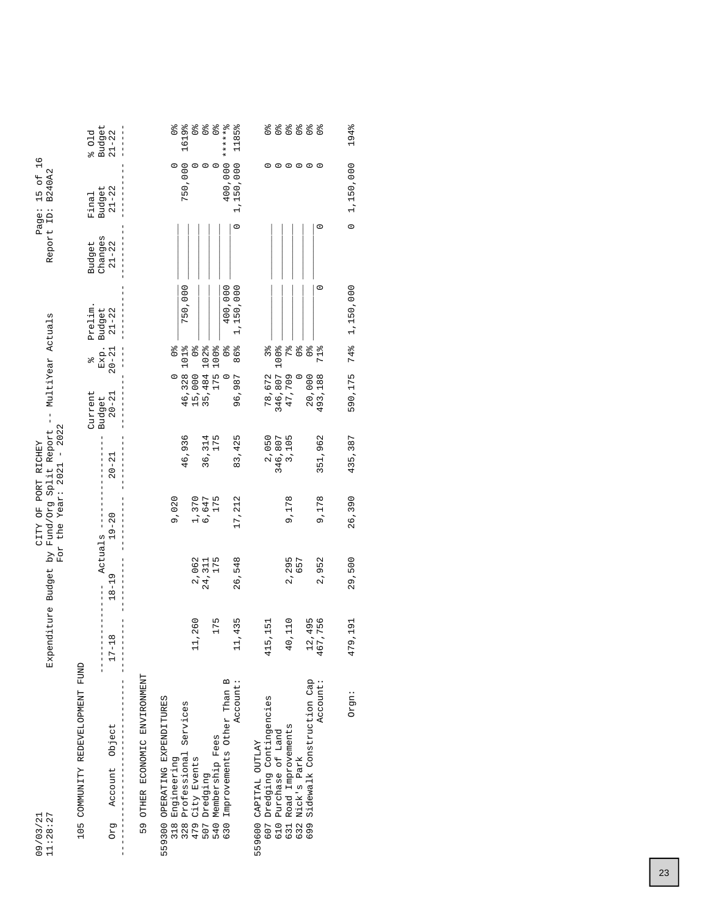| 11:28:27<br>09/03/21                         | Expenditure Budget        |                      | CITY OF PORT RICHEY | For the Year: $2021 - 2022$<br>by Fund/Org Split Report | MultiYear Actuals<br>$\frac{1}{1}$ |                   |                     |                      | $\frac{8}{1}$<br>Report ID: B240A2<br>15 of<br>Page: |                     |
|----------------------------------------------|---------------------------|----------------------|---------------------|---------------------------------------------------------|------------------------------------|-------------------|---------------------|----------------------|------------------------------------------------------|---------------------|
| 105 COMMUNITY REDEVELOPMENT FUND             |                           |                      |                     |                                                         | Current                            | olo               | Prelim.             | Budget               | Final                                                | 601d                |
| Account Object<br>Drg                        | $17 - 18$                 | Actuals<br>$18 - 19$ | $19 - 20$           | $20 - 21$                                               | $20 - 21$<br>Budget                | Exp.<br>$20 - 21$ | Budget<br>$21 - 22$ | Changes<br>$21 - 22$ | $21 - 22$<br>Budget                                  | Budget<br>$21 - 22$ |
| 59 OTHER ECONOMIC ENVIRONMENT                |                           |                      |                     |                                                         |                                    |                   |                     |                      |                                                      |                     |
| 559300 OPERATING EXPENDITURES<br>318         |                           |                      | 9,020               |                                                         | $\circ$                            | $\frac{1}{2}$     |                     |                      |                                                      | $\frac{1}{2}$       |
| Engineering<br>Professional Services<br>328  |                           |                      |                     | 46,936                                                  | 46,328                             | 101%              | 750,000             |                      | 750,000                                              | 1619%               |
| 479 City Events<br>507 Dredging              | 11,260                    | 2,062                | 1,370               |                                                         | 15,000<br>35,484                   | $\frac{1}{2}$     |                     |                      | $\circ$                                              | $\frac{1}{2}$       |
|                                              |                           | 24,311               | 6,647               | 36,314                                                  |                                    | 102%              |                     |                      | $\circ$                                              | $\frac{1}{2}$       |
| Membership Fees<br>540                       | 175                       | 175                  | 175                 | 175                                                     | 175                                | 100%              |                     |                      | $\circ$                                              | $\frac{1}{2}$       |
| Improvements Other Than B<br>630             |                           |                      |                     |                                                         | $\circ$                            | $\frac{1}{2}$     | 400,000             |                      | 400,000                                              | ****** 3            |
| Account:                                     | .435                      | 26,548               | 17, 212             | 83,425                                                  | 96,987                             | 86%               | 1,150,000           | $\circ$              | 1,150,000                                            | 1185%               |
| 559600 CAPITAL OUTLAY                        |                           |                      |                     |                                                         |                                    |                   |                     |                      |                                                      |                     |
| 607 Dredging Contingencies                   | 415,151                   |                      |                     | 2,050                                                   | 78,672                             | 3%                |                     |                      |                                                      | $\frac{6}{90}$      |
| 610                                          |                           |                      |                     | 346,807                                                 | 346,807                            | 100%              |                     |                      | $\circ$                                              | $\frac{1}{96}$      |
| Purchase of Land<br>Road Improvements<br>631 | 0,110<br>4                | 2,295                | 9,178               | 3,105                                                   | 47,709                             | $7\frac{8}{6}$    |                     |                      | $\circ \circ \circ$                                  | $\frac{1}{2}$       |
| Nick's Park<br>632                           |                           | 657                  |                     |                                                         | $\circ$                            | $\frac{6}{9}$     |                     |                      |                                                      | $\frac{6}{9}$       |
| Sidewalk Construction Cap<br>699             | 1,495                     |                      |                     |                                                         | 20,000                             | $\frac{1}{2}$     |                     |                      |                                                      | $\frac{1}{2}$       |
| Account:                                     | 7,756<br>$\frac{12}{467}$ | 2,952                | 9,178               | 351,962                                                 | 493,188                            | 71%               | $\circ$             | $\circ$              | $\circ$                                              | $\frac{1}{2}$       |
| Orgn:                                        | 479,191                   | 29,500               | 26,390              | 435,387                                                 | 590,175                            | 74%               | 1,150,000           | $\circ$              | 1,150,000                                            | 194%                |